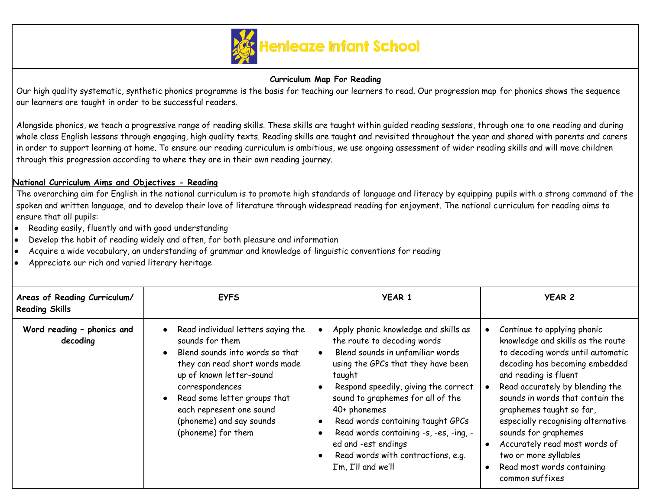

## **Curriculum Map For Reading**

Our high quality systematic, synthetic phonics programme is the basis for teaching our learners to read. Our progression map for phonics shows the sequence our learners are taught in order to be successful readers.

Alongside phonics, we teach a progressive range of reading skills. These skills are taught within guided reading sessions, through one to one reading and during whole class English lessons through engaging, high quality texts. Reading skills are taught and revisited throughout the year and shared with parents and carers in order to support learning at home. To ensure our reading curriculum is ambitious, we use ongoing assessment of wider reading skills and will move children through this progression according to where they are in their own reading journey.

## **National Curriculum Aims and Objectives - Reading**

The overarching aim for English in the national curriculum is to promote high standards of language and literacy by equipping pupils with a strong command of the spoken and written language, and to develop their love of literature through widespread reading for enjoyment. The national curriculum for reading aims to ensure that all pupils:

- Reading easily, fluently and with good understanding
- Develop the habit of reading widely and often, for both pleasure and information
- Acquire a wide vocabulary, an understanding of grammar and knowledge of linguistic conventions for reading
- Appreciate our rich and varied literary heritage

| Areas of Reading Curriculum/<br><b>Reading Skills</b> | <b>EYFS</b>                                                                                                                                                                                                                                                                               | <b>YEAR 1</b>                                                                                                                                                                                                                                                                                                                                                                                                                                                                 | <b>YEAR 2</b>                                                                                                                                                                                                                                                                                                                                                                                                                                |
|-------------------------------------------------------|-------------------------------------------------------------------------------------------------------------------------------------------------------------------------------------------------------------------------------------------------------------------------------------------|-------------------------------------------------------------------------------------------------------------------------------------------------------------------------------------------------------------------------------------------------------------------------------------------------------------------------------------------------------------------------------------------------------------------------------------------------------------------------------|----------------------------------------------------------------------------------------------------------------------------------------------------------------------------------------------------------------------------------------------------------------------------------------------------------------------------------------------------------------------------------------------------------------------------------------------|
| Word reading - phonics and<br>decoding                | • Read individual letters saying the<br>sounds for them<br>Blend sounds into words so that<br>they can read short words made<br>up of known letter-sound<br>correspondences<br>Read some letter groups that<br>each represent one sound<br>(phoneme) and say sounds<br>(phoneme) for them | Apply phonic knowledge and skills as<br>the route to decoding words<br>Blend sounds in unfamiliar words<br>$\bullet$<br>using the GPCs that they have been<br>taught<br>Respond speedily, giving the correct<br>$\bullet$<br>sound to graphemes for all of the<br>$40+$ phonemes<br>Read words containing taught GPCs<br>$\bullet$<br>Read words containing -s, -es, -ing, -<br>$\bullet$<br>ed and -est endings<br>Read words with contractions, e.g.<br>I'm, I'll and we'll | Continue to applying phonic<br>knowledge and skills as the route<br>to decoding words until automatic<br>decoding has becoming embedded<br>and reading is fluent<br>Read accurately by blending the<br>sounds in words that contain the<br>graphemes taught so far,<br>especially recognising alternative<br>sounds for graphemes<br>Accurately read most words of<br>two or more syllables<br>Read most words containing<br>common suffixes |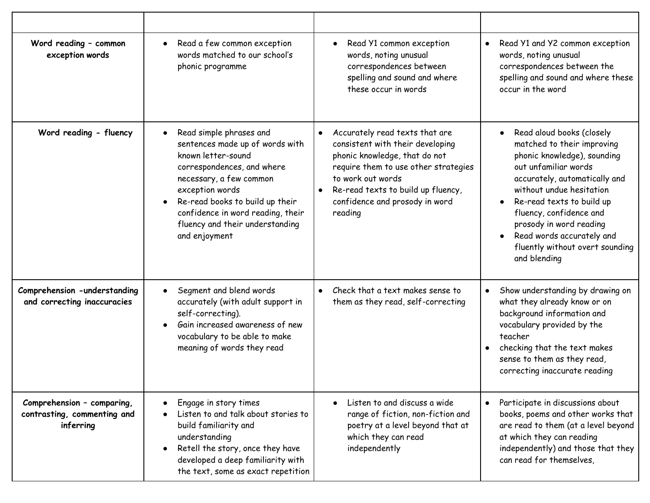| Word reading - common<br>exception words                               | Read a few common exception<br>$\bullet$<br>words matched to our school's<br>phonic programme                                                                                                                                                                                                         | Read Y1 common exception<br>$\bullet$<br>words, noting unusual<br>correspondences between<br>spelling and sound and where<br>these occur in words                                                                                                   | Read Y1 and Y2 common exception<br>$\bullet$<br>words, noting unusual<br>correspondences between the<br>spelling and sound and where these<br>occur in the word                                                                                                                                                                                                          |
|------------------------------------------------------------------------|-------------------------------------------------------------------------------------------------------------------------------------------------------------------------------------------------------------------------------------------------------------------------------------------------------|-----------------------------------------------------------------------------------------------------------------------------------------------------------------------------------------------------------------------------------------------------|--------------------------------------------------------------------------------------------------------------------------------------------------------------------------------------------------------------------------------------------------------------------------------------------------------------------------------------------------------------------------|
| Word reading - fluency                                                 | Read simple phrases and<br>$\bullet$<br>sentences made up of words with<br>known letter-sound<br>correspondences, and where<br>necessary, a few common<br>exception words<br>Re-read books to build up their<br>confidence in word reading, their<br>fluency and their understanding<br>and enjoyment | Accurately read texts that are<br>consistent with their developing<br>phonic knowledge, that do not<br>require them to use other strategies<br>to work out words<br>Re-read texts to build up fluency,<br>confidence and prosody in word<br>reading | Read aloud books (closely<br>matched to their improving<br>phonic knowledge), sounding<br>out unfamiliar words<br>accurately, automatically and<br>without undue hesitation<br>Re-read texts to build up<br>$\bullet$<br>fluency, confidence and<br>prosody in word reading<br>Read words accurately and<br>$\bullet$<br>fluently without overt sounding<br>and blending |
| Comprehension -understanding<br>and correcting inaccuracies            | Segment and blend words<br>$\bullet$<br>accurately (with adult support in<br>self-correcting).<br>Gain increased awareness of new<br>vocabulary to be able to make<br>meaning of words they read                                                                                                      | • Check that a text makes sense to<br>them as they read, self-correcting                                                                                                                                                                            | Show understanding by drawing on<br>$\bullet$<br>what they already know or on<br>background information and<br>vocabulary provided by the<br>teacher<br>checking that the text makes<br>$\bullet$<br>sense to them as they read,<br>correcting inaccurate reading                                                                                                        |
| Comprehension - comparing,<br>contrasting, commenting and<br>inferring | Engage in story times<br>Listen to and talk about stories to<br>build familiarity and<br>understanding<br>Retell the story, once they have<br>developed a deep familiarity with<br>the text, some as exact repetition                                                                                 | Listen to and discuss a wide<br>$\bullet$<br>range of fiction, non-fiction and<br>poetry at a level beyond that at<br>which they can read<br>independently                                                                                          | Participate in discussions about<br>$\bullet$<br>books, poems and other works that<br>are read to them (at a level beyond<br>at which they can reading<br>independently) and those that they<br>can read for themselves,                                                                                                                                                 |